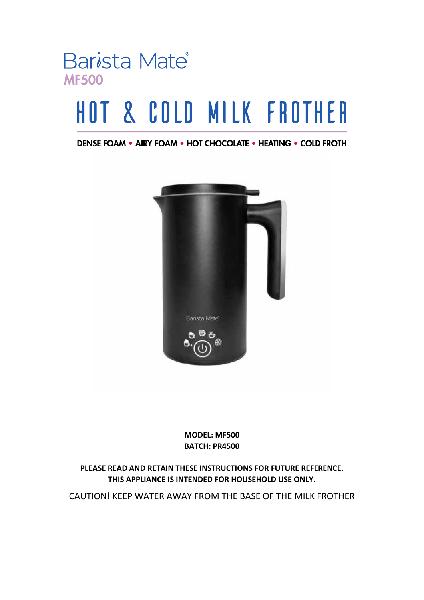

# HOT & COLD MILK FROTHER

DENSE FOAM . AIRY FOAM . HOT CHOCOLATE . HEATING . COLD FROTH



**MODEL: MF500 BATCH: PR4500**

**PLEASE READ AND RETAIN THESE INSTRUCTIONS FOR FUTURE REFERENCE. THIS APPLIANCE IS INTENDED FOR HOUSEHOLD USE ONLY.**

CAUTION! KEEP WATER AWAY FROM THE BASE OF THE MILK FROTHER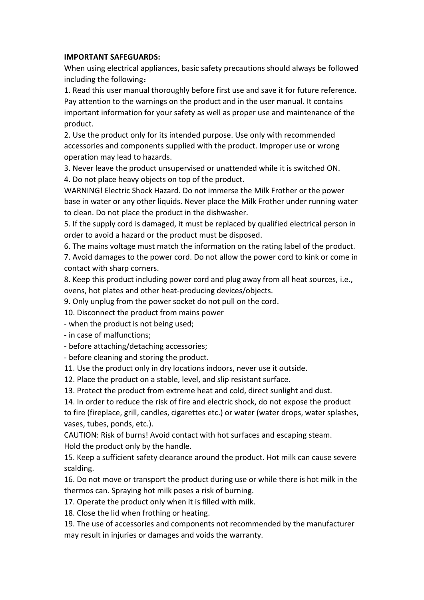#### **IMPORTANT SAFEGUARDS:**

When using electrical appliances, basic safety precautions should always be followed including the following:

1. Read this user manual thoroughly before first use and save it for future reference. Pay attention to the warnings on the product and in the user manual. It contains important information for your safety as well as proper use and maintenance of the product.

2. Use the product only for its intended purpose. Use only with recommended accessories and components supplied with the product. Improper use or wrong operation may lead to hazards.

3. Never leave the product unsupervised or unattended while it is switched ON.

4. Do not place heavy objects on top of the product.

WARNING! Electric Shock Hazard. Do not immerse the Milk Frother or the power base in water or any other liquids. Never place the Milk Frother under running water to clean. Do not place the product in the dishwasher.

5. If the supply cord is damaged, it must be replaced by qualified electrical person in order to avoid a hazard or the product must be disposed.

6. The mains voltage must match the information on the rating label of the product.

7. Avoid damages to the power cord. Do not allow the power cord to kink or come in contact with sharp corners.

8. Keep this product including power cord and plug away from all heat sources, i.e., ovens, hot plates and other heat-producing devices/objects.

9. Only unplug from the power socket do not pull on the cord.

10. Disconnect the product from mains power

- when the product is not being used;

- in case of malfunctions;

- before attaching/detaching accessories;

- before cleaning and storing the product.

11. Use the product only in dry locations indoors, never use it outside.

12. Place the product on a stable, level, and slip resistant surface.

13. Protect the product from extreme heat and cold, direct sunlight and dust.

14. In order to reduce the risk of fire and electric shock, do not expose the product to fire (fireplace, grill, candles, cigarettes etc.) or water (water drops, water splashes, vases, tubes, ponds, etc.).

CAUTION: Risk of burns! Avoid contact with hot surfaces and escaping steam. Hold the product only by the handle.

15. Keep a sufficient safety clearance around the product. Hot milk can cause severe scalding.

16. Do not move or transport the product during use or while there is hot milk in the thermos can. Spraying hot milk poses a risk of burning.

17. Operate the product only when it is filled with milk.

18. Close the lid when frothing or heating.

19. The use of accessories and components not recommended by the manufacturer may result in injuries or damages and voids the warranty.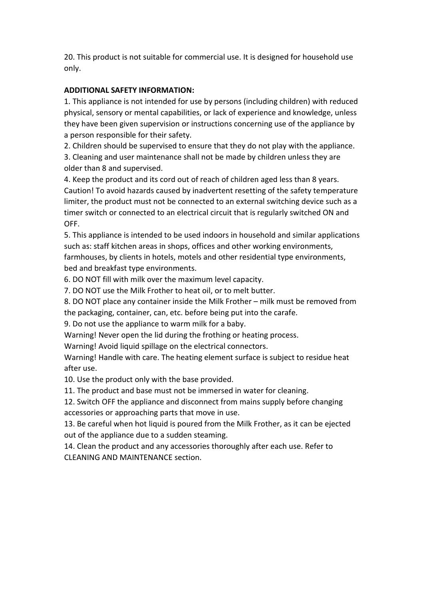20. This product is not suitable for commercial use. It is designed for household use only.

## **ADDITIONAL SAFETY INFORMATION:**

1. This appliance is not intended for use by persons (including children) with reduced physical, sensory or mental capabilities, or lack of experience and knowledge, unless they have been given supervision or instructions concerning use of the appliance by a person responsible for their safety.

2. Children should be supervised to ensure that they do not play with the appliance.

3. Cleaning and user maintenance shall not be made by children unless they are older than 8 and supervised.

4. Keep the product and its cord out of reach of children aged less than 8 years. Caution! To avoid hazards caused by inadvertent resetting of the safety temperature limiter, the product must not be connected to an external switching device such as a timer switch or connected to an electrical circuit that is regularly switched ON and OFF.

5. This appliance is intended to be used indoors in household and similar applications such as: staff kitchen areas in shops, offices and other working environments, farmhouses, by clients in hotels, motels and other residential type environments, bed and breakfast type environments.

6. DO NOT fill with milk over the maximum level capacity.

7. DO NOT use the Milk Frother to heat oil, or to melt butter.

8. DO NOT place any container inside the Milk Frother – milk must be removed from the packaging, container, can, etc. before being put into the carafe.

9. Do not use the appliance to warm milk for a baby.

Warning! Never open the lid during the frothing or heating process.

Warning! Avoid liquid spillage on the electrical connectors.

Warning! Handle with care. The heating element surface is subject to residue heat after use.

10. Use the product only with the base provided.

11. The product and base must not be immersed in water for cleaning.

12. Switch OFF the appliance and disconnect from mains supply before changing accessories or approaching parts that move in use.

13. Be careful when hot liquid is poured from the Milk Frother, as it can be ejected out of the appliance due to a sudden steaming.

14. Clean the product and any accessories thoroughly after each use. Refer to CLEANING AND MAINTENANCE section.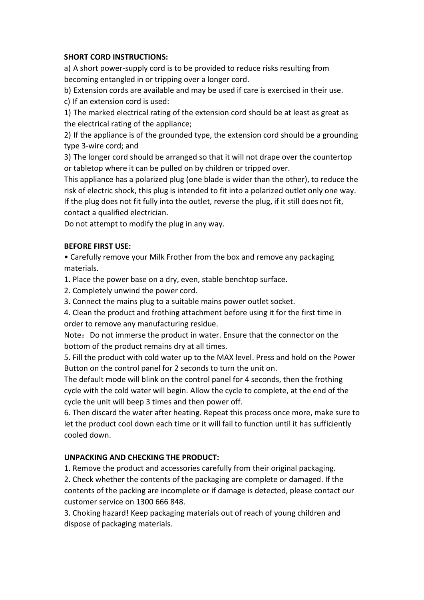## **SHORT CORD INSTRUCTIONS:**

a) A short power-supply cord is to be provided to reduce risks resulting from becoming entangled in or tripping over a longer cord.

b) Extension cords are available and may be used if care is exercised in their use. c) If an extension cord is used:

1) The marked electrical rating of the extension cord should be at least as great as the electrical rating of the appliance;

2) If the appliance is of the grounded type, the extension cord should be a grounding type 3-wire cord; and

3) The longer cord should be arranged so that it will not drape over the countertop or tabletop where it can be pulled on by children or tripped over.

This appliance has a polarized plug (one blade is wider than the other), to reduce the risk of electric shock, this plug is intended to fit into a polarized outlet only one way. If the plug does not fit fully into the outlet, reverse the plug, if it still does not fit, contact a qualified electrician.

Do not attempt to modify the plug in any way.

### **BEFORE FIRST USE:**

• Carefully remove your Milk Frother from the box and remove any packaging materials.

1. Place the power base on a dry, even, stable benchtop surface.

2. Completely unwind the power cord.

3. Connect the mains plug to a suitable mains power outlet socket.

4. Clean the product and frothing attachment before using it for the first time in order to remove any manufacturing residue.

Note: Do not immerse the product in water. Ensure that the connector on the bottom of the product remains dry at all times.

5. Fill the product with cold water up to the MAX level. Press and hold on the Power Button on the control panel for 2 seconds to turn the unit on.

The default mode will blink on the control panel for 4 seconds, then the frothing cycle with the cold water will begin. Allow the cycle to complete, at the end of the cycle the unit will beep 3 times and then power off.

6. Then discard the water after heating. Repeat this process once more, make sure to let the product cool down each time or it will fail to function until it has sufficiently cooled down.

## **UNPACKING AND CHECKING THE PRODUCT:**

1. Remove the product and accessories carefully from their original packaging.

2. Check whether the contents of the packaging are complete or damaged. If the contents of the packing are incomplete or if damage is detected, please contact our customer service on 1300 666 848.

3. Choking hazard! Keep packaging materials out of reach of young children and dispose of packaging materials.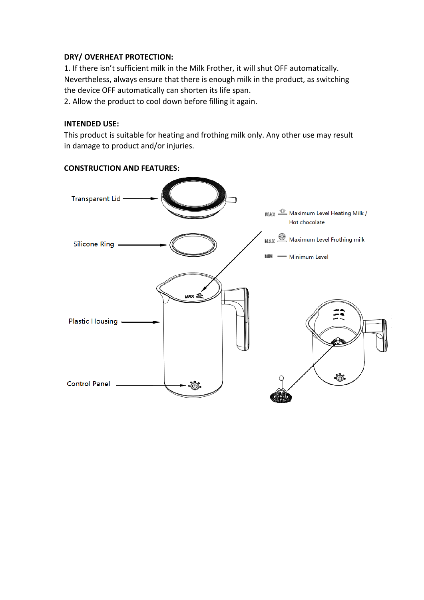#### **DRY/ OVERHEAT PROTECTION:**

1. If there isn't sufficient milk in the Milk Frother, it will shut OFF automatically. Nevertheless, always ensure that there is enough milk in the product, as switching the device OFF automatically can shorten its life span.

2. Allow the product to cool down before filling it again.

#### **INTENDED USE:**

This product is suitable for heating and frothing milk only. Any other use may result in damage to product and/or injuries.



**CONSTRUCTION AND FEATURES:**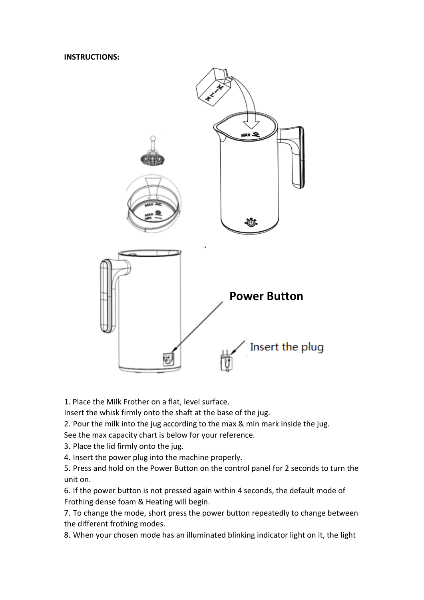**INSTRUCTIONS:**



1. Place the Milk Frother on a flat, level surface.

Insert the whisk firmly onto the shaft at the base of the jug.

2. Pour the milk into the jug according to the max & min mark inside the jug.

See the max capacity chart is below for your reference.

3. Place the lid firmly onto the jug.

4. Insert the power plug into the machine properly.

5. Press and hold on the Power Button on the control panel for 2 seconds to turn the unit on.

6. If the power button is not pressed again within 4 seconds, the default mode of Frothing dense foam & Heating will begin.

7. To change the mode, short press the power button repeatedly to change between the different frothing modes.

8. When your chosen mode has an illuminated blinking indicator light on it, the light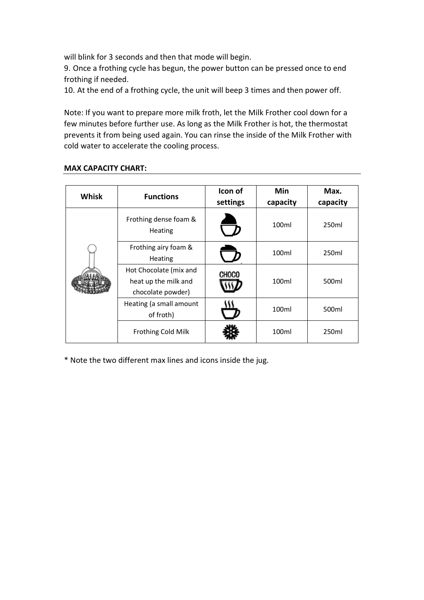will blink for 3 seconds and then that mode will begin.

9. Once a frothing cycle has begun, the power button can be pressed once to end frothing if needed.

10. At the end of a frothing cycle, the unit will beep 3 times and then power off.

Note: If you want to prepare more milk froth, let the Milk Frother cool down for a few minutes before further use. As long as the Milk Frother is hot, the thermostat prevents it from being used again. You can rinse the inside of the Milk Frother with cold water to accelerate the cooling process.

## **MAX CAPACITY CHART:**

| <b>Whisk</b> | <b>Functions</b>                                                    | Icon of<br>settings | Min<br>capacity | Max.<br>capacity |
|--------------|---------------------------------------------------------------------|---------------------|-----------------|------------------|
|              | Frothing dense foam &<br>Heating                                    |                     | 100ml           | 250ml            |
|              | Frothing airy foam &<br>Heating                                     |                     | 100ml           | 250ml            |
|              | Hot Chocolate (mix and<br>heat up the milk and<br>chocolate powder) | CHOCO               | 100ml           | 500ml            |
|              | Heating (a small amount<br>of froth)                                |                     | 100ml           | 500ml            |
|              | <b>Frothing Cold Milk</b>                                           |                     | 100ml           | 250ml            |

\* Note the two different max lines and icons inside the jug.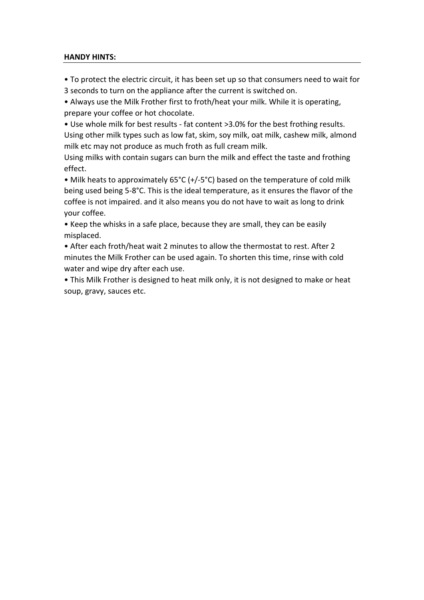#### **HANDY HINTS:**

• To protect the electric circuit, it has been set up so that consumers need to wait for 3 seconds to turn on the appliance after the current is switched on.

• Always use the Milk Frother first to froth/heat your milk. While it is operating, prepare your coffee or hot chocolate.

• Use whole milk for best results - fat content >3.0% for the best frothing results. Using other milk types such as low fat, skim, soy milk, oat milk, cashew milk, almond milk etc may not produce as much froth as full cream milk.

Using milks with contain sugars can burn the milk and effect the taste and frothing effect.

• Milk heats to approximately 65°C (+/-5°C) based on the temperature of cold milk being used being 5-8°C. This is the ideal temperature, as it ensures the flavor of the coffee is not impaired. and it also means you do not have to wait as long to drink your coffee.

• Keep the whisks in a safe place, because they are small, they can be easily misplaced.

• After each froth/heat wait 2 minutes to allow the thermostat to rest. After 2 minutes the Milk Frother can be used again. To shorten this time, rinse with cold water and wipe dry after each use.

• This Milk Frother is designed to heat milk only, it is not designed to make or heat soup, gravy, sauces etc.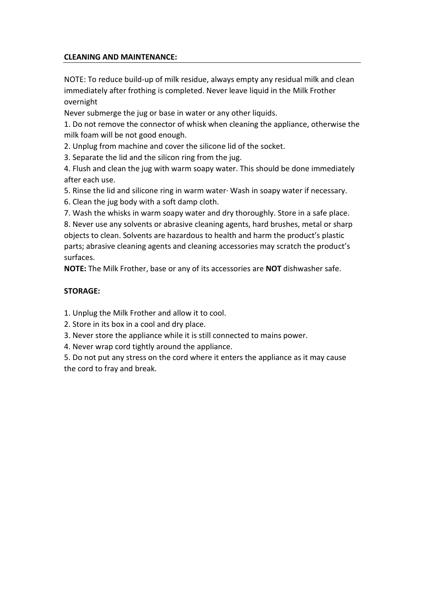## **CLEANING AND MAINTENANCE:**

NOTE: To reduce build-up of milk residue, always empty any residual milk and clean immediately after frothing is completed. Never leave liquid in the Milk Frother overnight

Never submerge the jug or base in water or any other liquids.

1. Do not remove the connector of whisk when cleaning the appliance, otherwise the milk foam will be not good enough.

2. Unplug from machine and cover the silicone lid of the socket.

3. Separate the lid and the silicon ring from the jug.

4. Flush and clean the jug with warm soapy water. This should be done immediately after each use.

5. Rinse the lid and silicone ring in warm water· Wash in soapy water if necessary.

6. Clean the jug body with a soft damp cloth.

7. Wash the whisks in warm soapy water and dry thoroughly. Store in a safe place.

8. Never use any solvents or abrasive cleaning agents, hard brushes, metal or sharp objects to clean. Solvents are hazardous to health and harm the product's plastic parts; abrasive cleaning agents and cleaning accessories may scratch the product's surfaces.

**NOTE:** The Milk Frother, base or any of its accessories are **NOT** dishwasher safe.

## **STORAGE:**

1. Unplug the Milk Frother and allow it to cool.

2. Store in its box in a cool and dry place.

3. Never store the appliance while it is still connected to mains power.

4. Never wrap cord tightly around the appliance.

5. Do not put any stress on the cord where it enters the appliance as it may cause the cord to fray and break.